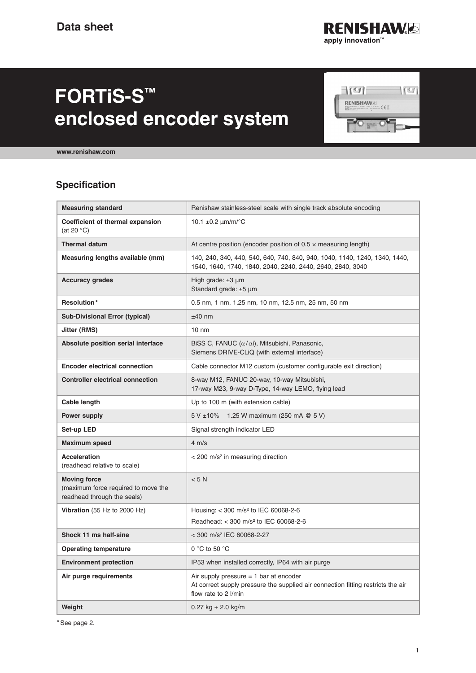

# **FORTiS-S™ enclosed encoder system**



**[www.renishaw.com](http://www.renishaw.com)**

### **Specification**

| <b>Measuring standard</b>                                                                 | Renishaw stainless-steel scale with single track absolute encoding                                                                                   |
|-------------------------------------------------------------------------------------------|------------------------------------------------------------------------------------------------------------------------------------------------------|
| <b>Coefficient of thermal expansion</b><br>(at 20 $\degree$ C)                            | 10.1 $\pm$ 0.2 $\mu$ m/m/°C                                                                                                                          |
| <b>Thermal datum</b>                                                                      | At centre position (encoder position of $0.5 \times$ measuring length)                                                                               |
| Measuring lengths available (mm)                                                          | 140, 240, 340, 440, 540, 640, 740, 840, 940, 1040, 1140, 1240, 1340, 1440,<br>1540, 1640, 1740, 1840, 2040, 2240, 2440, 2640, 2840, 3040             |
| <b>Accuracy grades</b>                                                                    | High grade: $±3 \mu m$<br>Standard grade: ±5 µm                                                                                                      |
| Resolution*                                                                               | 0.5 nm, 1 nm, 1.25 nm, 10 nm, 12.5 nm, 25 nm, 50 nm                                                                                                  |
| <b>Sub-Divisional Error (typical)</b>                                                     | $±40$ nm                                                                                                                                             |
| Jitter (RMS)                                                                              | $10 \text{ nm}$                                                                                                                                      |
| Absolute position serial interface                                                        | BiSS C, FANUC $(\alpha/\alpha i)$ , Mitsubishi, Panasonic,<br>Siemens DRIVE-CLiQ (with external interface)                                           |
| <b>Encoder electrical connection</b>                                                      | Cable connector M12 custom (customer configurable exit direction)                                                                                    |
| <b>Controller electrical connection</b>                                                   | 8-way M12, FANUC 20-way, 10-way Mitsubishi,<br>17-way M23, 9-way D-Type, 14-way LEMO, flying lead                                                    |
| <b>Cable length</b>                                                                       | Up to 100 m (with extension cable)                                                                                                                   |
| Power supply                                                                              | 1.25 W maximum (250 mA @ 5 V)<br>$5 V \pm 10\%$                                                                                                      |
| Set-up LED                                                                                | Signal strength indicator LED                                                                                                                        |
| Maximum speed                                                                             | $4 \text{ m/s}$                                                                                                                                      |
| <b>Acceleration</b><br>(readhead relative to scale)                                       | < 200 m/s <sup>2</sup> in measuring direction                                                                                                        |
| <b>Moving force</b><br>(maximum force required to move the<br>readhead through the seals) | < 5 N                                                                                                                                                |
| Vibration (55 Hz to 2000 Hz)                                                              | Housing: < 300 m/s <sup>2</sup> to IEC 60068-2-6<br>Readhead: < 300 m/s <sup>2</sup> to IEC 60068-2-6                                                |
| Shock 11 ms half-sine                                                                     | < 300 m/s <sup>2</sup> IEC 60068-2-27                                                                                                                |
| <b>Operating temperature</b>                                                              | 0 $\degree$ C to 50 $\degree$ C                                                                                                                      |
| <b>Environment protection</b>                                                             | IP53 when installed correctly, IP64 with air purge                                                                                                   |
| Air purge requirements                                                                    | Air supply pressure $= 1$ bar at encoder<br>At correct supply pressure the supplied air connection fitting restricts the air<br>flow rate to 2 I/min |
| Weight                                                                                    | $0.27$ kg + 2.0 kg/m                                                                                                                                 |

\*See page 2.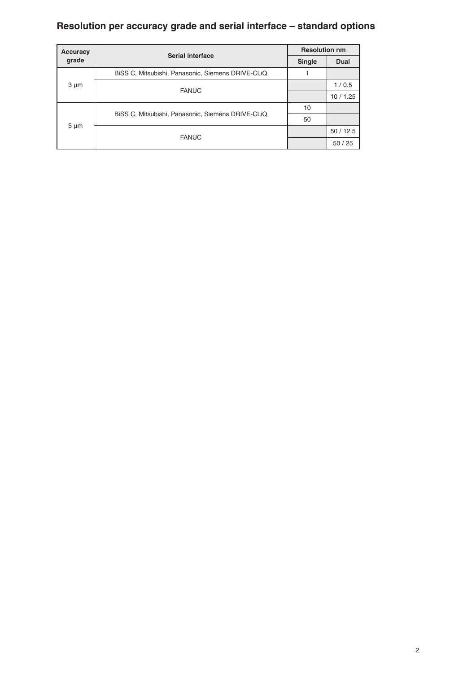## **Resolution per accuracy grade and serial interface – standard options**

| Accuracy  | <b>Serial interface</b>                           | <b>Resolution nm</b> |             |  |  |
|-----------|---------------------------------------------------|----------------------|-------------|--|--|
| grade     |                                                   | <b>Single</b>        | <b>Dual</b> |  |  |
| $3 \mu m$ | BISS C, Mitsubishi, Panasonic, Siemens DRIVE-CLIQ |                      |             |  |  |
|           | <b>FANUC</b>                                      |                      | 1/0.5       |  |  |
|           |                                                   |                      | 10/1.25     |  |  |
| $5 \mu m$ |                                                   | 10                   |             |  |  |
|           | BISS C, Mitsubishi, Panasonic, Siemens DRIVE-CLIQ | 50                   |             |  |  |
|           |                                                   |                      | 50/12.5     |  |  |
|           | <b>FANUC</b>                                      |                      | 50/25       |  |  |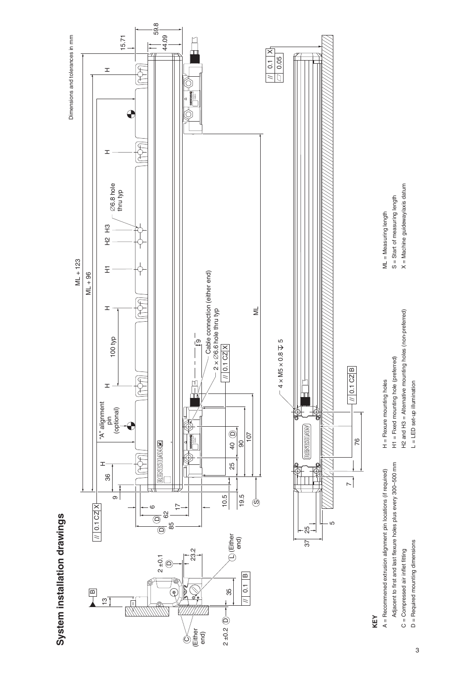



## **KEY**

 $\sim$ 

0.1 CZ B

//

76

- Adjacent to first and last flexure holes plus every 300-500 mm Adjacent to first and last flexure holes plus every 300–500 mm  $A =$  Recommened extrusion alignment pin locations (if required) A = Recommened extrusion alignment pin locations (if required)  $C =$  Compressed air inflet fitting C = Compressed air inflet fitting
	- $D =$  Required mounting dimensions D = Required mounting dimensions

H2 and H3 = Alternative mounting holes (non-preferred) H2 and H3 = Alternative mounting holes (non-preferred) L = LED set-up illumination L = LED set-up illumination

H = Flexure mounting holes H1 = Fixed mounting hole (preferred)

 $H =$  Flexure mounting holes

 $H1 =$  Fixed mounting hole (preferred)

- S = Start of measuring length ML = Measuring length ML = Measuring length
- S = Start of measuring length
- -
- $X =$  Machine guideway/axis datum X = Machine guideway/axis datum

3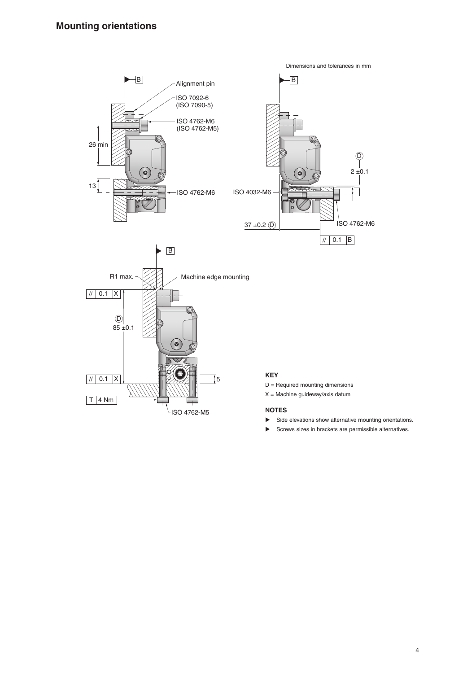

- $\blacktriangleright$  Side elevations show alternative mounting orientations.
- $\blacktriangleright$  Screws sizes in brackets are permissible alternatives.